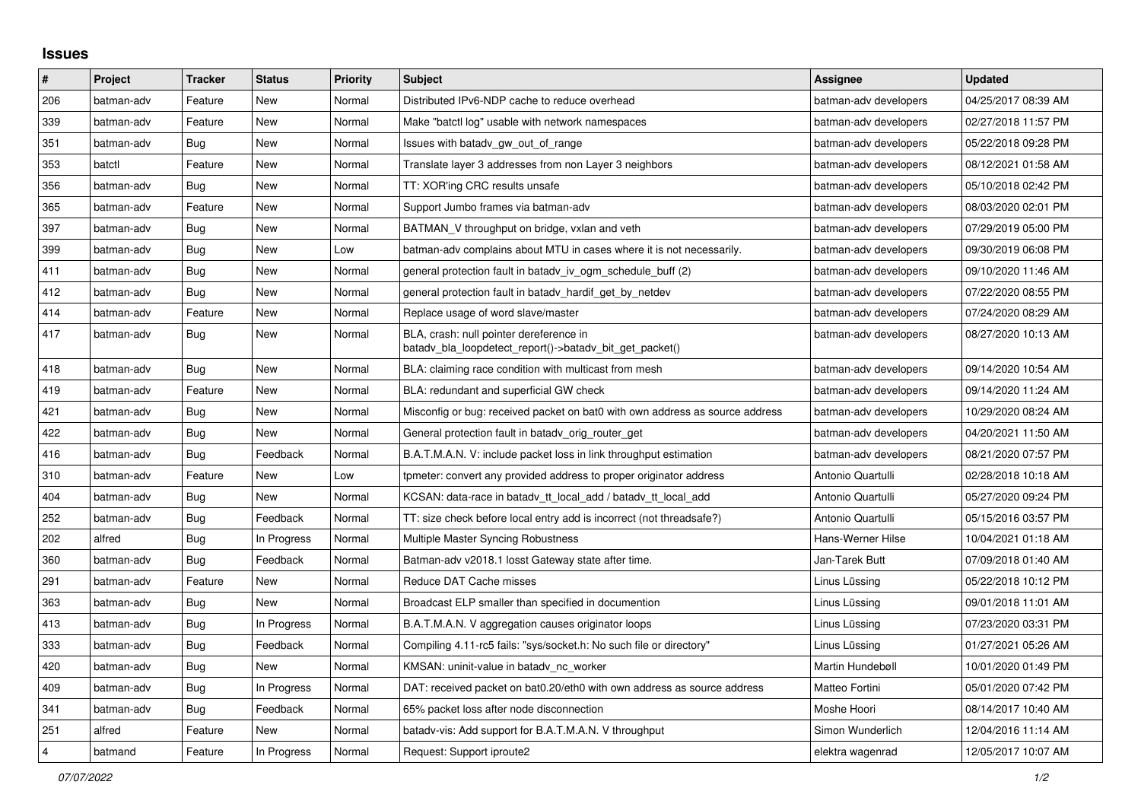## **Issues**

| $\vert$ #      | Project    | <b>Tracker</b> | <b>Status</b> | <b>Priority</b> | <b>Subject</b>                                                                                     | <b>Assignee</b>       | <b>Updated</b>      |
|----------------|------------|----------------|---------------|-----------------|----------------------------------------------------------------------------------------------------|-----------------------|---------------------|
| 206            | batman-adv | Feature        | New           | Normal          | Distributed IPv6-NDP cache to reduce overhead                                                      | batman-adv developers | 04/25/2017 08:39 AM |
| 339            | batman-adv | Feature        | <b>New</b>    | Normal          | Make "batctl log" usable with network namespaces                                                   | batman-adv developers | 02/27/2018 11:57 PM |
| 351            | batman-adv | Bug            | New           | Normal          | Issues with batady gw out of range                                                                 | batman-adv developers | 05/22/2018 09:28 PM |
| 353            | batctl     | Feature        | New           | Normal          | Translate layer 3 addresses from non Layer 3 neighbors                                             | batman-adv developers | 08/12/2021 01:58 AM |
| 356            | batman-adv | Bug            | New           | Normal          | TT: XOR'ing CRC results unsafe                                                                     | batman-adv developers | 05/10/2018 02:42 PM |
| 365            | batman-adv | Feature        | New           | Normal          | Support Jumbo frames via batman-adv                                                                | batman-adv developers | 08/03/2020 02:01 PM |
| 397            | batman-adv | <b>Bug</b>     | New           | Normal          | BATMAN V throughput on bridge, vxlan and veth                                                      | batman-adv developers | 07/29/2019 05:00 PM |
| 399            | batman-adv | Bug            | New           | Low             | batman-adv complains about MTU in cases where it is not necessarily.                               | batman-adv developers | 09/30/2019 06:08 PM |
| 411            | batman-adv | Bug            | New           | Normal          | general protection fault in batady iv ogm_schedule_buff (2)                                        | batman-adv developers | 09/10/2020 11:46 AM |
| 412            | batman-adv | <b>Bug</b>     | New           | Normal          | general protection fault in batady hardif get by netdev                                            | batman-adv developers | 07/22/2020 08:55 PM |
| 414            | batman-adv | Feature        | <b>New</b>    | Normal          | Replace usage of word slave/master                                                                 | batman-adv developers | 07/24/2020 08:29 AM |
| 417            | batman-adv | Bug            | <b>New</b>    | Normal          | BLA, crash: null pointer dereference in<br>batady_bla_loopdetect_report()->batady_bit_get_packet() | batman-adv developers | 08/27/2020 10:13 AM |
| 418            | batman-adv | Bug            | New           | Normal          | BLA: claiming race condition with multicast from mesh                                              | batman-adv developers | 09/14/2020 10:54 AM |
| 419            | batman-adv | Feature        | New           | Normal          | BLA: redundant and superficial GW check                                                            | batman-adv developers | 09/14/2020 11:24 AM |
| 421            | batman-adv | Bug            | New           | Normal          | Misconfig or bug: received packet on bat0 with own address as source address                       | batman-adv developers | 10/29/2020 08:24 AM |
| 422            | batman-adv | <b>Bug</b>     | <b>New</b>    | Normal          | General protection fault in batady orig router get                                                 | batman-adv developers | 04/20/2021 11:50 AM |
| 416            | batman-adv | Bug            | Feedback      | Normal          | B.A.T.M.A.N. V: include packet loss in link throughput estimation                                  | batman-adv developers | 08/21/2020 07:57 PM |
| 310            | batman-adv | Feature        | New           | Low             | tpmeter: convert any provided address to proper originator address                                 | Antonio Quartulli     | 02/28/2018 10:18 AM |
| 404            | batman-adv | Bug            | New           | Normal          | KCSAN: data-race in batady tt local add / batady tt local add                                      | Antonio Quartulli     | 05/27/2020 09:24 PM |
| 252            | batman-adv | Bug            | Feedback      | Normal          | TT: size check before local entry add is incorrect (not threadsafe?)                               | Antonio Quartulli     | 05/15/2016 03:57 PM |
| 202            | alfred     | Bug            | In Progress   | Normal          | Multiple Master Syncing Robustness                                                                 | Hans-Werner Hilse     | 10/04/2021 01:18 AM |
| 360            | batman-adv | Bug            | Feedback      | Normal          | Batman-adv v2018.1 losst Gateway state after time.                                                 | Jan-Tarek Butt        | 07/09/2018 01:40 AM |
| 291            | batman-adv | Feature        | New           | Normal          | Reduce DAT Cache misses                                                                            | Linus Lüssing         | 05/22/2018 10:12 PM |
| 363            | batman-adv | Bug            | <b>New</b>    | Normal          | Broadcast ELP smaller than specified in documention                                                | Linus Lüssing         | 09/01/2018 11:01 AM |
| 413            | batman-adv | Bug            | In Progress   | Normal          | B.A.T.M.A.N. V aggregation causes originator loops                                                 | Linus Lüssing         | 07/23/2020 03:31 PM |
| 333            | batman-adv | Bug            | Feedback      | Normal          | Compiling 4.11-rc5 fails: "sys/socket.h: No such file or directory"                                | Linus Lüssing         | 01/27/2021 05:26 AM |
| 420            | batman-adv | Bug            | <b>New</b>    | Normal          | KMSAN: uninit-value in batadv_nc_worker                                                            | Martin Hundebøll      | 10/01/2020 01:49 PM |
| 409            | batman-adv | Bug            | In Progress   | Normal          | DAT: received packet on bat0.20/eth0 with own address as source address                            | Matteo Fortini        | 05/01/2020 07:42 PM |
| 341            | batman-adv | Bug            | Feedback      | Normal          | 65% packet loss after node disconnection                                                           | Moshe Hoori           | 08/14/2017 10:40 AM |
| 251            | alfred     | Feature        | <b>New</b>    | Normal          | batady-vis: Add support for B.A.T.M.A.N. V throughput                                              | Simon Wunderlich      | 12/04/2016 11:14 AM |
| $\overline{4}$ | batmand    | Feature        | In Progress   | Normal          | Request: Support iproute2                                                                          | elektra wagenrad      | 12/05/2017 10:07 AM |